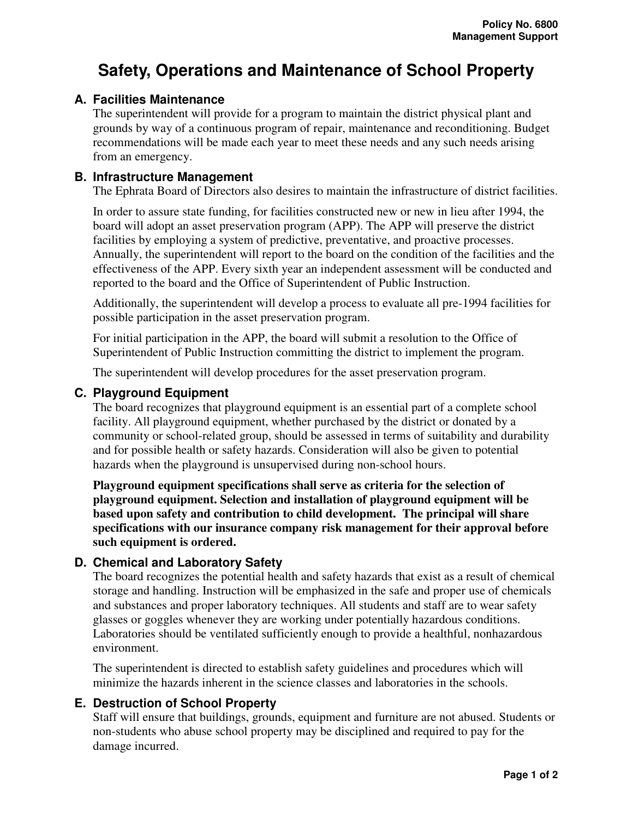# **Safety, Operations and Maintenance of School Property**

## **A. Facilities Maintenance**

The superintendent will provide for a program to maintain the district physical plant and grounds by way of a continuous program of repair, maintenance and reconditioning. Budget recommendations will be made each year to meet these needs and any such needs arising from an emergency.

## **B. Infrastructure Management**

The Ephrata Board of Directors also desires to maintain the infrastructure of district facilities.

In order to assure state funding, for facilities constructed new or new in lieu after 1994, the board will adopt an asset preservation program (APP). The APP will preserve the district facilities by employing a system of predictive, preventative, and proactive processes. Annually, the superintendent will report to the board on the condition of the facilities and the effectiveness of the APP. Every sixth year an independent assessment will be conducted and reported to the board and the Office of Superintendent of Public Instruction.

Additionally, the superintendent will develop a process to evaluate all pre-1994 facilities for possible participation in the asset preservation program.

For initial participation in the APP, the board will submit a resolution to the Office of Superintendent of Public Instruction committing the district to implement the program.

The superintendent will develop procedures for the asset preservation program.

#### **C. Playground Equipment**

The board recognizes that playground equipment is an essential part of a complete school facility. All playground equipment, whether purchased by the district or donated by a community or school-related group, should be assessed in terms of suitability and durability and for possible health or safety hazards. Consideration will also be given to potential hazards when the playground is unsupervised during non-school hours.

**Playground equipment specifications shall serve as criteria for the selection of playground equipment. Selection and installation of playground equipment will be based upon safety and contribution to child development. The principal will share specifications with our insurance company risk management for their approval before such equipment is ordered.** 

## **D. Chemical and Laboratory Safety**

The board recognizes the potential health and safety hazards that exist as a result of chemical storage and handling. Instruction will be emphasized in the safe and proper use of chemicals and substances and proper laboratory techniques. All students and staff are to wear safety glasses or goggles whenever they are working under potentially hazardous conditions. Laboratories should be ventilated sufficiently enough to provide a healthful, nonhazardous environment.

The superintendent is directed to establish safety guidelines and procedures which will minimize the hazards inherent in the science classes and laboratories in the schools.

## **E. Destruction of School Property**

Staff will ensure that buildings, grounds, equipment and furniture are not abused. Students or non-students who abuse school property may be disciplined and required to pay for the damage incurred.